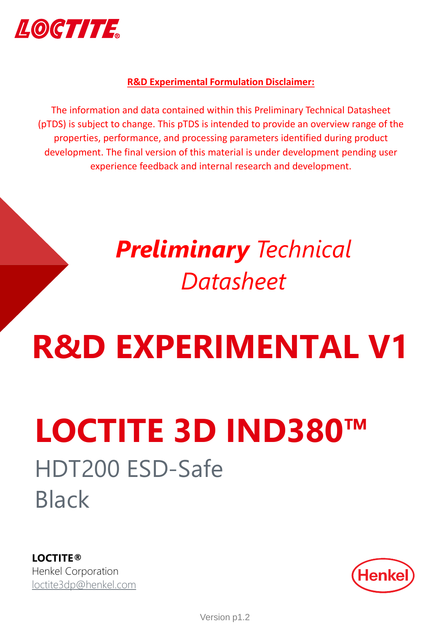

### **R&D Experimental Formulation Disclaimer:**

The information and data contained within this Preliminary Technical Datasheet (pTDS) is subject to change. This pTDS is intended to provide an overview range of the properties, performance, and processing parameters identified during product development. The final version of this material is under development pending user experience feedback and internal research and development.

# *Preliminary Technical Datasheet*

# **R&D EXPERIMENTAL V1**

# HDT200 ESD-Safe Black **LOCTITE 3D IND380™**

**LOCTITE®** Henkel Corporation [loctite3dp@henkel.com](mailto:loctite3dp@henkel.com)

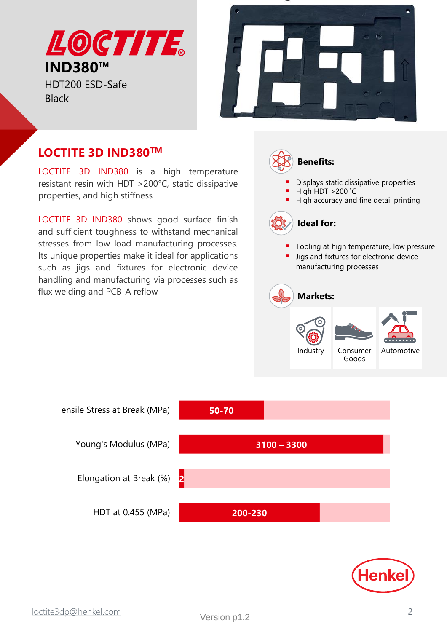LOCTTTE. **IND380™**

HDT200 ESD-Safe **Black** 



# **LOCTITE 3D IND380TM**

LOCTITE 3D IND380 is a high temperature resistant resin with HDT >200°C, static dissipative properties, and high stiffness

LOCTITE 3D IND380 shows good surface finish and sufficient toughness to withstand mechanical stresses from low load manufacturing processes. Its unique properties make it ideal for applications such as jigs and fixtures for electronic device handling and manufacturing via processes such as flux welding and PCB-A reflow



- Tooling at high temperature, low pressure
- Jigs and fixtures for electronic device manufacturing processes





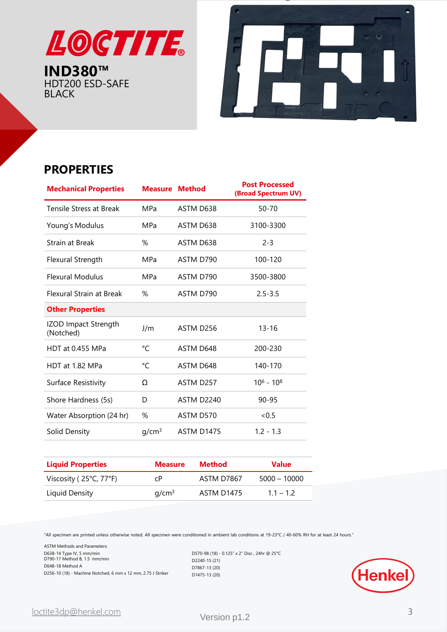

**IND380™** HDT200 ESD-SAFE BLACK



# **PROPERTIES**

| <b>Mechanical Properties</b>      | <b>Measure Method</b> |            | <b>Post Processed</b><br>(Broad Spectrum UV) |
|-----------------------------------|-----------------------|------------|----------------------------------------------|
| Tensile Stress at Break           | <b>MPa</b>            | ASTM D638  | $50 - 70$                                    |
| Young's Modulus                   | MPa                   | ASTM D638  | 3100-3300                                    |
| Strain at Break                   | %                     | ASTM D638  | $2 - 3$                                      |
| Flexural Strength                 | <b>MPa</b>            | ASTM D790  | 100-120                                      |
| <b>Flexural Modulus</b>           | MPa                   | ASTM D790  | 3500-3800                                    |
| <b>Flexural Strain at Break</b>   | %                     | ASTM D790  | $2.5 - 3.5$                                  |
| <b>Other Properties</b>           |                       |            |                                              |
| IZOD Impact Strength<br>(Notched) | J/m                   | ASTM D256  | $13 - 16$                                    |
| HDT at 0.455 MPa                  | °C                    | ASTM D648  | 200-230                                      |
| HDT at 1.82 MPa                   | °C                    | ASTM D648  | 140-170                                      |
| Surface Resistivity               | Ω                     | ASTM D257  | $10^6 - 10^8$                                |
| Shore Hardness (5s)               | D                     | ASTM D2240 | 90-95                                        |
| Water Absorption (24 hr)          | %                     | ASTM D570  | <0.5                                         |
| Solid Density                     | q/cm <sup>3</sup>     | ASTM D1475 | $1.2 - 1.3$                                  |
|                                   |                       |            |                                              |

| <b>Liquid Properties</b> | <b>Measure</b>    | Method     | <b>Value</b>   |
|--------------------------|-------------------|------------|----------------|
| Viscosity (25°C, 77°F)   | сP                | ASTM D7867 | $5000 - 10000$ |
| Liquid Density           | q/cm <sup>3</sup> | ASTM D1475 | $1.1 - 1.2$    |

"All specimen are printed unless otherwise noted. All specimen were conditioned in ambient lab conditions at 19-23°C / 40-60% RH for at least 24 hours."

ASTM Methods and Parameters: D638-14 Type IV, 5 
mm/min D790-17 Method B, 1.5 mm/min D648-18 Method A D256-10 (18) - Machine Notched, 6 mm x 12 mm, 2.75 J Striker

D570-98 (18) - 0.125" x 2" Disc , 24hr @ 25°C D2240-15 (21) D7867-13 (20) D1475-13 (20)

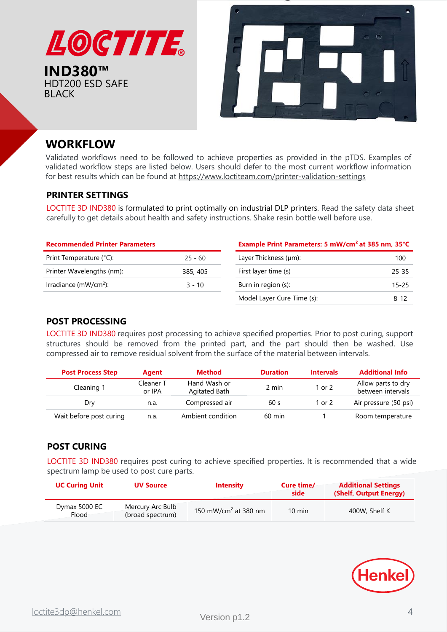

# **WORKFLOW**

HDT200 ESD SAFE

BLACK

Validated workflows need to be followed to achieve properties as provided in the pTDS. Examples of validated workflow steps are listed below. Users should defer to the most current workflow information for best results which can be found at <https://www.loctiteam.com/printer-validation-settings>

#### **PRINTER SETTINGS**

LOCTITE 3D IND380 is formulated to print optimally on industrial DLP printers. Read the safety data sheet carefully to get details about health and safety instructions. Shake resin bottle well before use.

| <b>Recommended Printer Parameters</b> |           |  |  |  |
|---------------------------------------|-----------|--|--|--|
| Print Temperature (°C):               | $25 - 60$ |  |  |  |
| Printer Wavelengths (nm):             | 385, 405  |  |  |  |
| Irradiance (mW/cm <sup>2</sup> ):     | $3 - 10$  |  |  |  |
|                                       |           |  |  |  |

#### **Example Print Parameters: 5 mW/cm² at 385 nm, 35°C**

| Layer Thickness (µm):      | 100      |
|----------------------------|----------|
| First layer time (s)       | 25-35    |
| Burn in region (s):        | 15-25    |
| Model Layer Cure Time (s): | $8 - 12$ |

#### **POST PROCESSING**

LOCTITE 3D IND380 requires post processing to achieve specified properties. Prior to post curing, support structures should be removed from the printed part, and the part should then be washed. Use compressed air to remove residual solvent from the surface of the material between intervals.

| <b>Post Process Step</b> | Agent               | <b>Method</b>                 | <b>Duration</b>  | <b>Intervals</b> | <b>Additional Info</b>                  |
|--------------------------|---------------------|-------------------------------|------------------|------------------|-----------------------------------------|
| Cleaning 1               | Cleaner T<br>or IPA | Hand Wash or<br>Agitated Bath | 2 min            | l or 2           | Allow parts to dry<br>between intervals |
| Dry                      | n.a.                | Compressed air                | 60 s             | 1 or 2           | Air pressure (50 psi)                   |
| Wait before post curing  | n.a.                | Ambient condition             | $60 \text{ min}$ |                  | Room temperature                        |

#### **POST CURING**

LOCTITE 3D IND380 requires post curing to achieve specified properties. It is recommended that a wide spectrum lamp be used to post cure parts.

| <b>UC Curing Unit</b>  | <b>UV Source</b>                     | <b>Intensity</b>                 | Cure time/<br>side | <b>Additional Settings</b><br>(Shelf, Output Energy) |
|------------------------|--------------------------------------|----------------------------------|--------------------|------------------------------------------------------|
| Dymax 5000 EC<br>Flood | Mercury Arc Bulb<br>(broad spectrum) | 150 mW/cm <sup>2</sup> at 380 nm | $10 \text{ min}$   | 400W, Shelf K                                        |

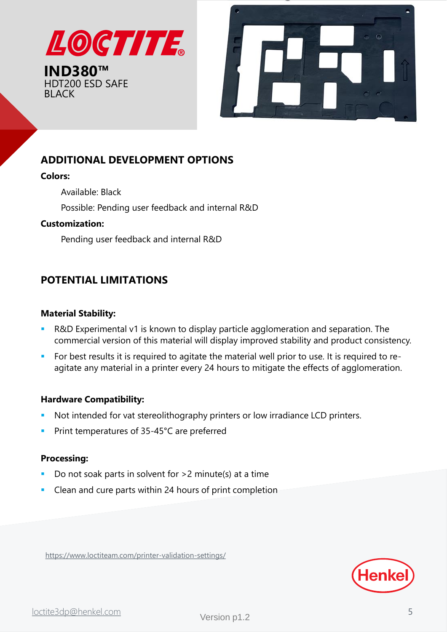



## **ADDITIONAL DEVELOPMENT OPTIONS**

#### **Colors:**

- Available: Black
- Possible: Pending user feedback and internal R&D

#### **Customization:**

Pending user feedback and internal R&D

## **POTENTIAL LIMITATIONS**

#### **Material Stability:**

- R&D Experimental v1 is known to display particle agglomeration and separation. The commercial version of this material will display improved stability and product consistency.
- **EXECT** For best results it is required to agitate the material well prior to use. It is required to reagitate any material in a printer every 24 hours to mitigate the effects of agglomeration.

#### **Hardware Compatibility:**

- Not intended for vat stereolithography printers or low irradiance LCD printers.
- Print temperatures of 35-45°C are preferred

#### **Processing:**

- Do not soak parts in solvent for  $>2$  minute(s) at a time
- Clean and cure parts within 24 hours of print completion

<https://www.loctiteam.com/printer-validation-settings/>

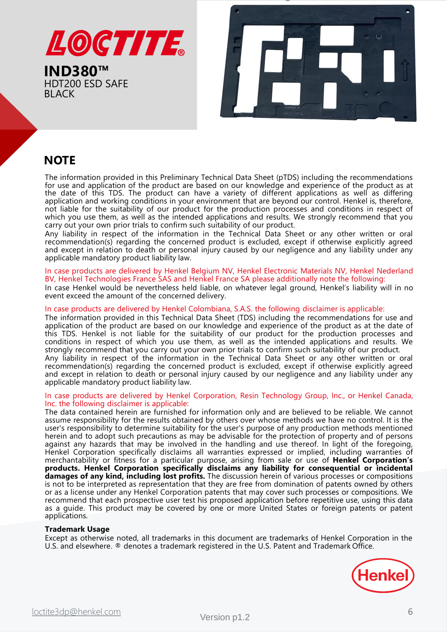

**IND380™** HDT200 ESD SAFE BLACK



# **NOTE**

The information provided in this Preliminary Technical Data Sheet (pTDS) including the recommendations for use and application of the product are based on our knowledge and experience of the product as at the date of this TDS. The product can have a variety of different applications as well as differing application and working conditions in your environment that are beyond our control. Henkel is, therefore, not liable for the suitability of our product for the production processes and conditions in respect of which you use them, as well as the intended applications and results. We strongly recommend that you carry out your own prior trials to confirm such suitability of our product.

Any liability in respect of the information in the Technical Data Sheet or any other written or oral recommendation(s) regarding the concerned product is excluded, except if otherwise explicitly agreed and except in relation to death or personal injury caused by our negligence and any liability under any applicable mandatory product liability law.

#### In case products are delivered by Henkel Belgium NV, Henkel Electronic Materials NV, Henkel Nederland BV, Henkel Technologies France SAS and Henkel France SA please additionally note the following:

In case Henkel would be nevertheless held liable, on whatever legal ground, Henkel's liability will in no event exceed the amount of the concerned delivery.

#### In case products are delivered by Henkel Colombiana, S.A.S. the following disclaimer is applicable:

The information provided in this Technical Data Sheet (TDS) including the recommendations for use and application of the product are based on our knowledge and experience of the product as at the date of this TDS. Henkel is not liable for the suitability of our product for the production processes and conditions in respect of which you use them, as well as the intended applications and results. We strongly recommend that you carry out your own prior trials to confirm such suitability of our product.

Any liability in respect of the information in the Technical Data Sheet or any other written or oral recommendation(s) regarding the concerned product is excluded, except if otherwise explicitly agreed and except in relation to death or personal injury caused by our negligence and any liability under any applicable mandatory product liability law.

#### In case products are delivered by Henkel Corporation, Resin Technology Group, Inc., or Henkel Canada, Inc. the following disclaimer is applicable:

The data contained herein are furnished for information only and are believed to be reliable. We cannot assume responsibility for the results obtained by others over whose methods we have no control. It is the user's responsibility to determine suitability for the user's purpose of any production methods mentioned herein and to adopt such precautions as may be advisable for the protection of property and of persons against any hazards that may be involved in the handling and use thereof. In light of the foregoing, Henkel Corporation specifically disclaims all warranties expressed or implied, including warranties of merchantability or fitness for a particular purpose, arising from sale or use of **Henkel Corporation's products. Henkel Corporation specifically disclaims any liability for consequential or incidental damages of any kind, including lost profits.** The discussion herein of various processes or compositions is not to be interpreted as representation that they are free from domination of patents owned by others or as a license under any Henkel Corporation patents that may cover such processes or compositions. We recommend that each prospective user test his proposed application before repetitive use, using this data as a guide. This product may be covered by one or more United States or foreign patents or patent applications.

#### **Trademark Usage**

Except as otherwise noted, all trademarks in this document are trademarks of Henkel Corporation in the U.S. and elsewhere. ® denotes a trademark registered in the U.S. Patent and Trademark Office.